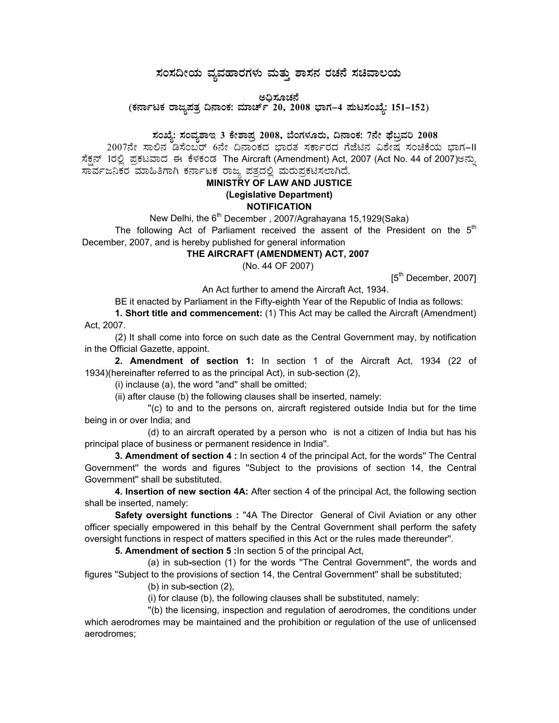# $\,$ ಸಂಸದೀಯ ವ್ಯವಹಾರಗಳು ಮತ್ತು ಶಾಸನ ರಚನೆ ಸಚಿವಾಲಯ

ಅಧಿಸೂಚನೆ<br>^

(ಕರ್ನಾಟಕ ರಾಜ್ಯಪತ್ರ ದಿನಾಂಕ: ಮಾರ್ಚ್ 20, 2008 ಭಾಗ–4 **ಮಟಸಂಖ್ಯೆ: 151–152**)

## ಸಂಖ್ಯೆ: ಸಂವೃಶಾಇ 3 ಕೇಶಾಪ್ತ 2008, ಬೆಂಗಳೂರು, ದಿನಾಂಕ: 7ನೇ ಫೆಬ್ರವರಿ 2008

2007ನೇ ಸಾಲಿನ ಡಿಸೆಂಬರ್ 6ನೇ ದಿನಾಂಕದ ಭಾರತ ಸರ್ಕಾರದ ಗೆಜೆಟಿನ ವಿಶೇಷ ಸಂಚಿಕೆಯ ಭಾಗ–II ಸೆಕ್ಷನ್ 1ರಲ್ಲಿ ಪ್ರಕಟವಾದ ಈ ಕೆಳಕಂಡ The Aircraft (Amendment) Act, 2007 (Act No. 44 of 2007)ಅನ್ನು ಸಾರ್ವಜನಿಕರ ಮಾಹಿತಿಗಾಗಿ ಕರ್ನಾಟಕ ರಾಜ್ಯ ಪತ್ರದಲ್ಲಿ ಮರುಪ್ರಕಟಿಸಲಾಗಿದೆ.

# **MINISTRY OF LAW AND JUSTICE (Legislative Department) NOTIFICATION**

New Delhi, the 6<sup>th</sup> December, 2007/Agrahayana 15,1929(Saka) The following Act of Parliament received the assent of the President on the  $5<sup>th</sup>$ December, 2007, and is hereby published for general information

#### **THE AIRCRAFT (AMENDMENT) ACT, 2007**

(No. 44 OF 2007)

[5<sup>th</sup> December, 2007]

An Act further to amend the Aircraft Act, 1934.

BE it enacted by Parliament in the Fifty-eighth Year of the Republic of India as follows:

**1. Short title and commencement:** (1) This Act may be called the Aircraft (Amendment) Act, 2007.

(2) It shall come into force on such date as the Central Government may, by notification in the Official Gazette, appoint.

**2. Amendment of section 1:** In section 1 of the Aircraft Act, 1934 (22 of 1934)(hereinafter referred to as the principal Act), in sub-section (2),

(i) inclause (a), the word ''and'' shall be omitted;

(ii) after clause (b) the following clauses shall be inserted, namely:

 ''(c) to and to the persons on, aircraft registered outside India but for the time being in or over India; and

 (d) to an aircraft operated by a person who is not a citizen of India but has his principal place of business or permanent residence in India''.

**3. Amendment of section 4 :** In section 4 of the principal Act, for the words'' The Central Government'' the words and figures ''Subject to the provisions of section 14, the Central Government'' shall be substituted.

**4. Insertion of new section 4A:** After section 4 of the principal Act, the following section shall be inserted, namely:

**Safety oversight functions :** ''4A The Director General of Civil Aviation or any other officer specially empowered in this behalf by the Central Government shall perform the safety oversight functions in respect of matters specified in this Act or the rules made thereunder''.

**5. Amendment of section 5 :**In section 5 of the principal Act,

(a) in sub**-**section (1) for the words ''The Central Government'', the words and figures ''Subject to the provisions of section 14, the Central Government'' shall be substituted;

(b) in sub**-**section (2),

(i) for clause (b), the following clauses shall be substituted, namely:

 ''(b) the licensing, inspection and regulation of aerodromes, the conditions under which aerodromes may be maintained and the prohibition or regulation of the use of unlicensed aerodromes;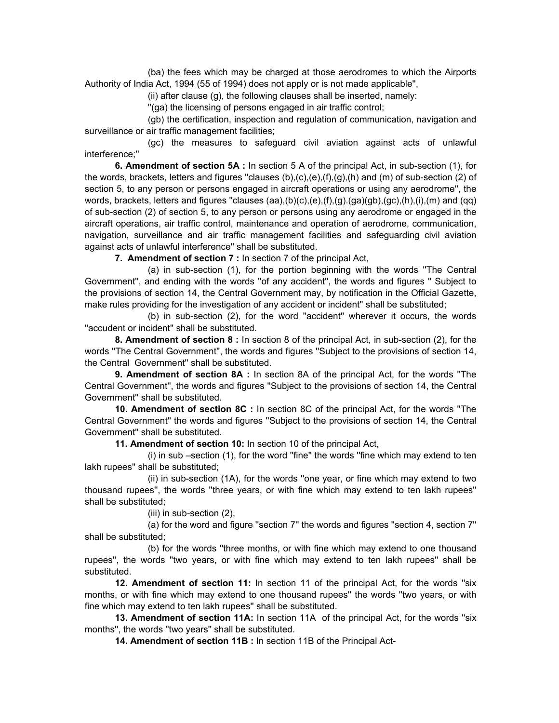(ba) the fees which may be charged at those aerodromes to which the Airports Authority of India Act, 1994 (55 of 1994) does not apply or is not made applicable'',

(ii) after clause (g), the following clauses shall be inserted, namely:

''(ga) the licensing of persons engaged in air traffic control;

 (gb) the certification, inspection and regulation of communication, navigation and surveillance or air traffic management facilities;

 (gc) the measures to safeguard civil aviation against acts of unlawful interference;''

**6. Amendment of section 5A :** In section 5 A of the principal Act, in sub-section (1), for the words, brackets, letters and figures "clauses  $(b), (c), (e), (f), (g), (h)$  and  $(m)$  of sub-section (2) of section 5, to any person or persons engaged in aircraft operations or using any aerodrome'', the words, brackets, letters and figures "clauses (aa),(b)(c),(e),(f),(g).(ga)(gb),(gc),(h),(i),(m) and (qq) of sub-section (2) of section 5, to any person or persons using any aerodrome or engaged in the aircraft operations, air traffic control, maintenance and operation of aerodrome, communication, navigation, surveillance and air traffic management facilities and safeguarding civil aviation against acts of unlawful interference'' shall be substituted.

**7. Amendment of section 7 :** In section 7 of the principal Act,

 (a) in sub-section (1), for the portion beginning with the words ''The Central Government'', and ending with the words ''of any accident'', the words and figures '' Subject to the provisions of section 14, the Central Government may, by notification in the Official Gazette, make rules providing for the investigation of any accident or incident" shall be substituted;

 (b) in sub-section (2), for the word ''accident'' wherever it occurs, the words ''accudent or incident'' shall be substituted.

**8. Amendment of section 8 :** In section 8 of the principal Act, in sub-section (2), for the words ''The Central Government'', the words and figures ''Subject to the provisions of section 14, the Central Government'' shall be substituted.

**9. Amendment of section 8A :** In section 8A of the principal Act, for the words ''The Central Government'', the words and figures ''Subject to the provisions of section 14, the Central Government'' shall be substituted.

**10. Amendment of section 8C :** In section 8C of the principal Act, for the words ''The Central Government'' the words and figures ''Subject to the provisions of section 14, the Central Government'' shall be substituted.

**11. Amendment of section 10:** In section 10 of the principal Act,

(i) in sub –section (1), for the word ''fine'' the words ''fine which may extend to ten lakh rupees'' shall be substituted;

 (ii) in sub-section (1A), for the words ''one year, or fine which may extend to two thousand rupees'', the words ''three years, or with fine which may extend to ten lakh rupees'' shall be substituted;

(iii) in sub-section (2),

 (a) for the word and figure ''section 7'' the words and figures ''section 4, section 7'' shall be substituted;

 (b) for the words ''three months, or with fine which may extend to one thousand rupees'', the words ''two years, or with fine which may extend to ten lakh rupees'' shall be substituted.

**12. Amendment of section 11:** In section 11 of the principal Act, for the words "six months, or with fine which may extend to one thousand rupees'' the words ''two years, or with fine which may extend to ten lakh rupees'' shall be substituted.

**13. Amendment of section 11A:** In section 11A of the principal Act, for the words ''six months'', the words ''two years'' shall be substituted.

**14. Amendment of section 11B :** In section 11B of the Principal Act-